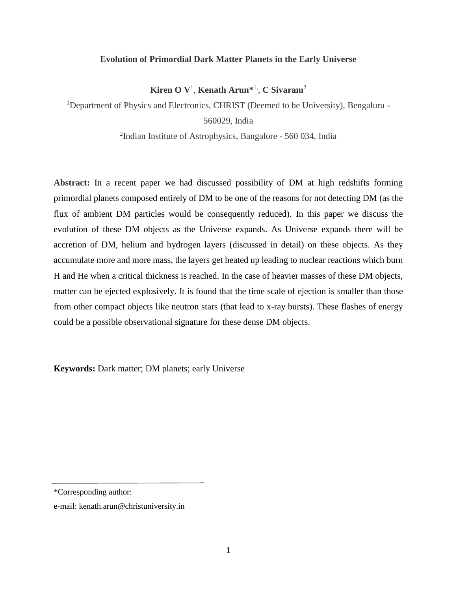### **Evolution of Primordial Dark Matter Planets in the Early Universe**

**Kiren O V**<sup>1</sup> , **Kenath Arun\*** 1, , **C Sivaram**<sup>2</sup>

<sup>1</sup>Department of Physics and Electronics, CHRIST (Deemed to be University), Bengaluru -

560029, India

<sup>2</sup>Indian Institute of Astrophysics, Bangalore - 560 034, India

**Abstract:** In a recent paper we had discussed possibility of DM at high redshifts forming primordial planets composed entirely of DM to be one of the reasons for not detecting DM (as the flux of ambient DM particles would be consequently reduced). In this paper we discuss the evolution of these DM objects as the Universe expands. As Universe expands there will be accretion of DM, helium and hydrogen layers (discussed in detail) on these objects. As they accumulate more and more mass, the layers get heated up leading to nuclear reactions which burn H and He when a critical thickness is reached. In the case of heavier masses of these DM objects, matter can be ejected explosively. It is found that the time scale of ejection is smaller than those from other compact objects like neutron stars (that lead to x-ray bursts). These flashes of energy could be a possible observational signature for these dense DM objects.

**Keywords:** Dark matter; DM planets; early Universe

<sup>\*</sup>Corresponding author:

e-mail: kenath.arun@christuniversity.in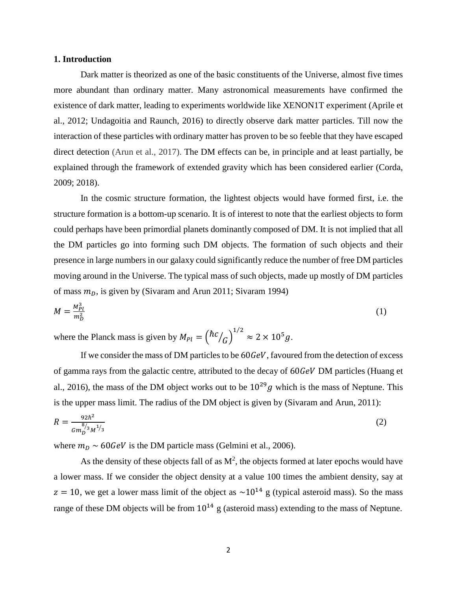### **1. Introduction**

Dark matter is theorized as one of the basic constituents of the Universe, almost five times more abundant than ordinary matter. Many astronomical measurements have confirmed the existence of dark matter, leading to experiments worldwide like XENON1T experiment (Aprile et al., 2012; Undagoitia and Raunch, 2016) to directly observe dark matter particles. Till now the interaction of these particles with ordinary matter has proven to be so feeble that they have escaped direct detection (Arun et al., 2017). The DM effects can be, in principle and at least partially, be explained through the framework of extended gravity which has been considered earlier (Corda, 2009; 2018).

In the cosmic structure formation, the lightest objects would have formed first, i.e. the structure formation is a bottom-up scenario. It is of interest to note that the earliest objects to form could perhaps have been primordial planets dominantly composed of DM. It is not implied that all the DM particles go into forming such DM objects. The formation of such objects and their presence in large numbers in our galaxy could significantly reduce the number of free DM particles moving around in the Universe. The typical mass of such objects, made up mostly of DM particles of mass  $m<sub>D</sub>$ , is given by (Sivaram and Arun 2011; Sivaram 1994)

$$
M = \frac{M_{Pl}^3}{m_D^2} \tag{1}
$$

where the Planck mass is given by  $M_{Pl} = \left(\hbar c\right)$  $/_{G})$  $^{1/2}$   $\approx 2 \times 10^5 g$ .

If we consider the mass of DM particles to be  $60 GeV$ , favoured from the detection of excess of gamma rays from the galactic centre, attributed to the decay of 60GeV DM particles (Huang et al., 2016), the mass of the DM object works out to be  $10^{29}g$  which is the mass of Neptune. This is the upper mass limit. The radius of the DM object is given by (Sivaram and Arun, 2011):

$$
R = \frac{92\hbar^2}{Gm_D^{8/3}M^{1/3}}
$$
 (2)

where  $m_D \sim 60 GeV$  is the DM particle mass (Gelmini et al., 2006).

As the density of these objects fall of as  $M^2$ , the objects formed at later epochs would have a lower mass. If we consider the object density at a value 100 times the ambient density, say at  $z = 10$ , we get a lower mass limit of the object as  $\sim 10^{14}$  g (typical asteroid mass). So the mass range of these DM objects will be from  $10^{14}$  g (asteroid mass) extending to the mass of Neptune.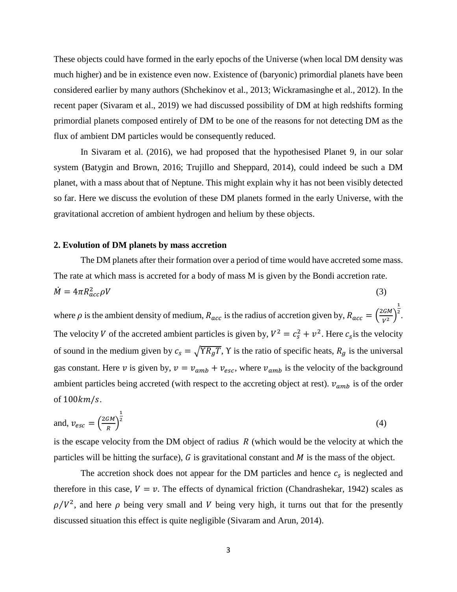These objects could have formed in the early epochs of the Universe (when local DM density was much higher) and be in existence even now. Existence of (baryonic) primordial planets have been considered earlier by many authors (Shchekinov et al., 2013; Wickramasinghe et al., 2012). In the recent paper (Sivaram et al., 2019) we had discussed possibility of DM at high redshifts forming primordial planets composed entirely of DM to be one of the reasons for not detecting DM as the flux of ambient DM particles would be consequently reduced.

In Sivaram et al. (2016), we had proposed that the hypothesised Planet 9, in our solar system (Batygin and Brown, 2016; Trujillo and Sheppard, 2014), could indeed be such a DM planet, with a mass about that of Neptune. This might explain why it has not been visibly detected so far. Here we discuss the evolution of these DM planets formed in the early Universe, with the gravitational accretion of ambient hydrogen and helium by these objects.

### **2. Evolution of DM planets by mass accretion**

The DM planets after their formation over a period of time would have accreted some mass. The rate at which mass is accreted for a body of mass M is given by the Bondi accretion rate.  $\dot{M} = 4\pi R_{acc}^2 \rho V$  $\frac{2}{\alpha c c} \rho V$  (3)

where  $\rho$  is the ambient density of medium,  $R_{acc}$  is the radius of accretion given by,  $R_{acc} = \left(\frac{2GM}{V^2}\right)$  $\frac{Gm}{V^2}$ 1 2 . The velocity V of the accreted ambient particles is given by,  $V^2 = c_s^2 + v^2$ . Here  $c_s$  is the velocity of sound in the medium given by  $c_s = \sqrt{Y R_g T}$ , Y is the ratio of specific heats,  $R_g$  is the universal gas constant. Here v is given by,  $v = v_{amb} + v_{esc}$ , where  $v_{amb}$  is the velocity of the background ambient particles being accreted (with respect to the accreting object at rest).  $v_{amb}$  is of the order of  $100km/s$ .

and, 
$$
v_{esc} = \left(\frac{2GM}{R}\right)^{\frac{1}{2}}
$$
 (4)

is the escape velocity from the DM object of radius  $R$  (which would be the velocity at which the particles will be hitting the surface),  $G$  is gravitational constant and  $M$  is the mass of the object.

The accretion shock does not appear for the DM particles and hence  $c_s$  is neglected and therefore in this case,  $V = v$ . The effects of dynamical friction (Chandrashekar, 1942) scales as  $\rho/V^2$ , and here  $\rho$  being very small and V being very high, it turns out that for the presently discussed situation this effect is quite negligible (Sivaram and Arun, 2014).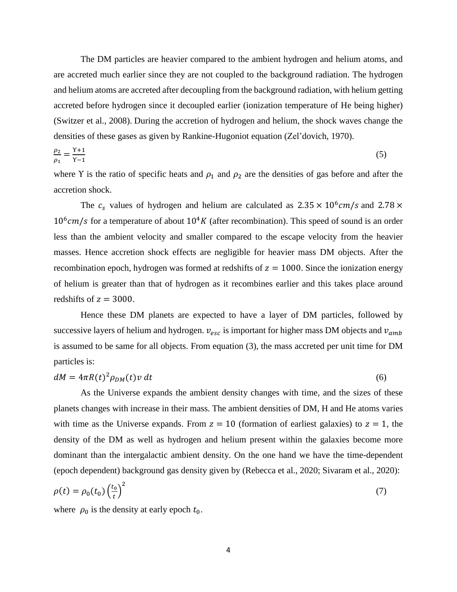The DM particles are heavier compared to the ambient hydrogen and helium atoms, and are accreted much earlier since they are not coupled to the background radiation. The hydrogen and helium atoms are accreted after decoupling from the background radiation, with helium getting accreted before hydrogen since it decoupled earlier (ionization temperature of He being higher) (Switzer et al., 2008). During the accretion of hydrogen and helium, the shock waves change the densities of these gases as given by Rankine-Hugoniot equation (Zel'dovich, 1970).

$$
\frac{\rho_2}{\rho_1} = \frac{\gamma + 1}{\gamma - 1} \tag{5}
$$

where Y is the ratio of specific heats and  $\rho_1$  and  $\rho_2$  are the densities of gas before and after the accretion shock.

The  $c_s$  values of hydrogen and helium are calculated as  $2.35 \times 10^6 cm/s$  and  $2.78 \times$  $10^6$ cm/s for a temperature of about  $10^4$ K (after recombination). This speed of sound is an order less than the ambient velocity and smaller compared to the escape velocity from the heavier masses. Hence accretion shock effects are negligible for heavier mass DM objects. After the recombination epoch, hydrogen was formed at redshifts of  $z = 1000$ . Since the ionization energy of helium is greater than that of hydrogen as it recombines earlier and this takes place around redshifts of  $z = 3000$ .

Hence these DM planets are expected to have a layer of DM particles, followed by successive layers of helium and hydrogen.  $v_{esc}$  is important for higher mass DM objects and  $v_{amb}$ is assumed to be same for all objects. From equation (3), the mass accreted per unit time for DM particles is:

$$
dM = 4\pi R(t)^2 \rho_{DM}(t) v dt
$$
\n(6)

As the Universe expands the ambient density changes with time, and the sizes of these planets changes with increase in their mass. The ambient densities of DM, H and He atoms varies with time as the Universe expands. From  $z = 10$  (formation of earliest galaxies) to  $z = 1$ , the density of the DM as well as hydrogen and helium present within the galaxies become more dominant than the intergalactic ambient density. On the one hand we have the time-dependent (epoch dependent) background gas density given by (Rebecca et al., 2020; Sivaram et al., 2020):

$$
\rho(t) = \rho_0(t_0) \left(\frac{t_0}{t}\right)^2 \tag{7}
$$

where  $\rho_0$  is the density at early epoch  $t_0$ .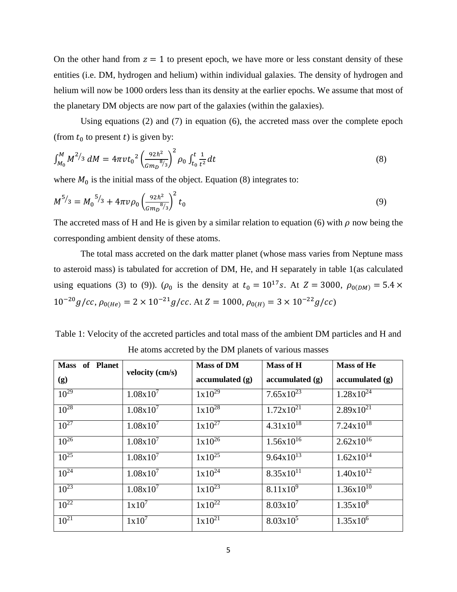On the other hand from  $z = 1$  to present epoch, we have more or less constant density of these entities (i.e. DM, hydrogen and helium) within individual galaxies. The density of hydrogen and helium will now be 1000 orders less than its density at the earlier epochs. We assume that most of the planetary DM objects are now part of the galaxies (within the galaxies).

Using equations (2) and (7) in equation (6), the accreted mass over the complete epoch (from  $t_0$  to present t) is given by:

$$
\int_{M_0}^M M^{2/3} dM = 4\pi v t_0^2 \left(\frac{92\hbar^2}{Gm_D^{8/3}}\right)^2 \rho_0 \int_{t_0}^t \frac{1}{t^2} dt
$$
\n(8)

where  $M_0$  is the initial mass of the object. Equation (8) integrates to:

$$
M^{5/3} = M_0^{5/3} + 4\pi \nu \rho_0 \left(\frac{92\hbar^2}{Gm_D^{8/3}}\right)^2 t_0
$$
\n(9)

The accreted mass of H and He is given by a similar relation to equation (6) with  $\rho$  now being the corresponding ambient density of these atoms.

The total mass accreted on the dark matter planet (whose mass varies from Neptune mass to asteroid mass) is tabulated for accretion of DM, He, and H separately in table 1(as calculated using equations (3) to (9)). ( $\rho_0$  is the density at  $t_0 = 10^{17}$  s. At  $Z = 3000$ ,  $\rho_{0(DM)} = 5.4 \times$  $10^{-20}g/cc, \rho_{0(He)} = 2 \times 10^{-21}g/cc.$  At  $Z = 1000, \rho_{0(H)} = 3 \times 10^{-22}g/cc$ 

Table 1: Velocity of the accreted particles and total mass of the ambient DM particles and H and He atoms accreted by the DM planets of various masses

| Mass of Planet | velocity (cm/s) | <b>Mass of DM</b><br><b>Mass of H</b> |                       | <b>Mass of He</b>     |  |
|----------------|-----------------|---------------------------------------|-----------------------|-----------------------|--|
| (g)            |                 | accumulated(g)                        | accumulated(g)        | accumulated (g)       |  |
| $10^{29}$      | $1.08x10^{7}$   | $1x10^{29}$                           | $7.65 \times 10^{23}$ | $1.28 \times 10^{24}$ |  |
| $10^{28}$      | $1.08x10^{7}$   | $1x10^{28}$                           | $1.72 \times 10^{21}$ | $2.89x10^{21}$        |  |
| $10^{27}$      | $1.08x10^{7}$   | $1x10^{27}$                           | $4.31x10^{18}$        | $7.24 \times 10^{18}$ |  |
| $10^{26}$      | $1.08x10^{7}$   | $1x10^{26}$                           | $1.56x10^{16}$        | $2.62 \times 10^{16}$ |  |
| $10^{25}$      | $1.08x10^{7}$   | $1 \times 10^{25}$                    | $9.64 \times 10^{13}$ | $1.62 \times 10^{14}$ |  |
| $10^{24}$      | $1.08x10^{7}$   | $1x10^{24}$                           | $8.35x10^{11}$        | $1.40x10^{12}$        |  |
| $10^{23}$      | $1.08x10^{7}$   | $1x10^{23}$                           | $8.11x10^{9}$         | $1.36x10^{10}$        |  |
| $10^{22}$      | $1x10^7$        | $1x10^{22}$                           | $8.03x10^{7}$         | $1.35x10^{8}$         |  |
| $10^{21}$      | $1x10^7$        | $1x10^{21}$                           | $8.03x10^5$           | $1.35x10^6$           |  |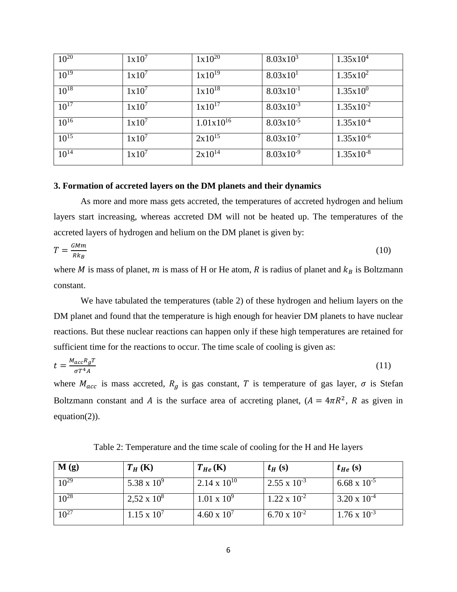| $10^{20}$ | $1x10^7$ | $1x10^{20}$    | $8.03 \times 10^3$    | $1.35x10^{4}$  |
|-----------|----------|----------------|-----------------------|----------------|
| $10^{19}$ | $1x10^7$ | $1x10^{19}$    | $8.03 \times 10^{1}$  | $1.35x10^2$    |
| $10^{18}$ | $1x10^7$ | $1x10^{18}$    | $8.03 \times 10^{-1}$ | $1.35x10^{0}$  |
| $10^{17}$ | $1x10^7$ | $1x10^{17}$    | $8.03 \times 10^{-3}$ | $1.35x10^{-2}$ |
| $10^{16}$ | $1x10^7$ | $1.01x10^{16}$ | $8.03 \times 10^{-5}$ | $1.35x10^{-4}$ |
| $10^{15}$ | $1x10^7$ | $2x10^{15}$    | $8.03 \times 10^{-7}$ | $1.35x10^{-6}$ |
| $10^{14}$ | $1x10^7$ | $2x10^{14}$    | $8.03x10^{-9}$        | $1.35x10^{-8}$ |

# **3. Formation of accreted layers on the DM planets and their dynamics**

As more and more mass gets accreted, the temperatures of accreted hydrogen and helium layers start increasing, whereas accreted DM will not be heated up. The temperatures of the accreted layers of hydrogen and helium on the DM planet is given by:

$$
T = \frac{GMm}{Rk_B} \tag{10}
$$

where *M* is mass of planet, *m* is mass of H or He atom, *R* is radius of planet and  $k_B$  is Boltzmann constant.

We have tabulated the temperatures (table 2) of these hydrogen and helium layers on the DM planet and found that the temperature is high enough for heavier DM planets to have nuclear reactions. But these nuclear reactions can happen only if these high temperatures are retained for sufficient time for the reactions to occur. The time scale of cooling is given as:

$$
t = \frac{M_{acc}R_gT}{\sigma T^4 A} \tag{11}
$$

where  $M_{acc}$  is mass accreted,  $R_g$  is gas constant, T is temperature of gas layer,  $\sigma$  is Stefan Boltzmann constant and A is the surface area of accreting planet,  $(A = 4\pi R^2, R$  as given in equation(2)).

**M** (g)  $\begin{vmatrix} T_H(\mathbf{K}) \end{vmatrix}$   $\begin{vmatrix} T_{He}(\mathbf{K}) \end{vmatrix}$   $\begin{vmatrix} t_H(\mathbf{s}) \end{vmatrix}$   $\begin{vmatrix} t_{He}(\mathbf{s}) \end{vmatrix}$  $10^{29}$  5.38 x  $10^9$  $2.14 \times 10^{10}$  2.55 x 10<sup>-3</sup>  $6.68 \times 10^{-5}$  $10^{28}$  2,52 x  $10^8$  $1.01 \times 10^9$  $1.22 \times 10^{-2}$  $3.20 \times 10^{-4}$  $10^{27}$  1.15 x  $10^7$  $4.60 \times 10^{7}$  $6.70 \times 10^{-2}$  $1.76 \times 10^{-3}$ 

Table 2: Temperature and the time scale of cooling for the H and He layers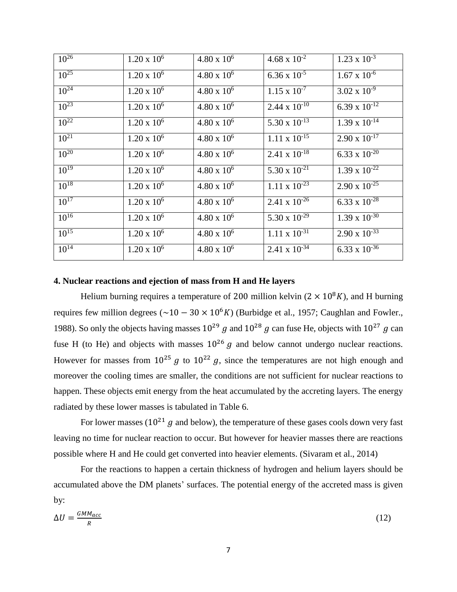| $10^{26}$ | $1.20 \times 10^6$   | $4.80 \times 10^6$   | $4.68 \times 10^{-2}$        | $1.23 \times 10^{-3}$  |
|-----------|----------------------|----------------------|------------------------------|------------------------|
| $10^{25}$ | $1.20 \times 10^6$   | $4.80 \times 10^6$   | $6.36 \times 10^{-5}$        | $1.67 \times 10^{-6}$  |
| $10^{24}$ | $1.20 \times 10^6$   | $4.80 \times 10^6$   | $1.15 \times 10^{-7}$        | $3.02 \times 10^{-9}$  |
| $10^{23}$ | $1.20 \times 10^6$   | $4.80 \times 10^6$   | $2.44 \times 10^{-10}$       | 6.39 x $10^{-12}$      |
| $10^{22}$ | $1.20 \times 10^6$   | $4.80 \times 10^6$   | 5.30 x $10^{-13}$            | $1.39 \times 10^{-14}$ |
| $10^{21}$ | $1.20 \times 10^6$   | $4.80 \times 10^6$   | $1.11 \times 10^{-15}$       | $2.90 \times 10^{-17}$ |
| $10^{20}$ | $1.20 \times 10^{6}$ | $4.80 \times 10^6$   | 2.41 x $\overline{10^{-18}}$ | 6.33 x $10^{-20}$      |
| $10^{19}$ | $1.20 \times 10^6$   | $4.80 \times 10^{6}$ | 5.30 x $10^{-21}$            | $1.39 \times 10^{-22}$ |
| $10^{18}$ | $1.20 \times 10^6$   | $4.80 \times 10^6$   | $1.11 \times 10^{-23}$       | $2.90 \times 10^{-25}$ |
| $10^{17}$ | $1.20 \times 10^6$   | $4.80 \times 10^6$   | $2.41 \times 10^{-26}$       | 6.33 x $10^{-28}$      |
| $10^{16}$ | $1.20 \times 10^6$   | $4.80 \times 10^6$   | 5.30 x $10^{-29}$            | $1.39 \times 10^{-30}$ |
| $10^{15}$ | $1.20 \times 10^6$   | $4.80 \times 10^6$   | $1.11 \times 10^{-31}$       | $2.90 \times 10^{-33}$ |
| $10^{14}$ | $1.20 \times 10^6$   | $4.80 \times 10^6$   | $2.41 \times 10^{-34}$       | 6.33 x $10^{-36}$      |

# **4. Nuclear reactions and ejection of mass from H and He layers**

Helium burning requires a temperature of 200 million kelvin ( $2 \times 10^8 K$ ), and H burning requires few million degrees ( $\sim$ 10 – 30 × 10<sup>6</sup>K) (Burbidge et al., 1957; Caughlan and Fowler., 1988). So only the objects having masses  $10^{29}$  g and  $10^{28}$  g can fuse He, objects with  $10^{27}$  g can fuse H (to He) and objects with masses  $10^{26}$  g and below cannot undergo nuclear reactions. However for masses from  $10^{25}$  g to  $10^{22}$  g, since the temperatures are not high enough and moreover the cooling times are smaller, the conditions are not sufficient for nuclear reactions to happen. These objects emit energy from the heat accumulated by the accreting layers. The energy radiated by these lower masses is tabulated in Table 6.

For lower masses ( $10^{21}$  g and below), the temperature of these gases cools down very fast leaving no time for nuclear reaction to occur. But however for heavier masses there are reactions possible where H and He could get converted into heavier elements. (Sivaram et al., 2014)

For the reactions to happen a certain thickness of hydrogen and helium layers should be accumulated above the DM planets' surfaces. The potential energy of the accreted mass is given by:

$$
\Delta U = \frac{GMM_{acc}}{R} \tag{12}
$$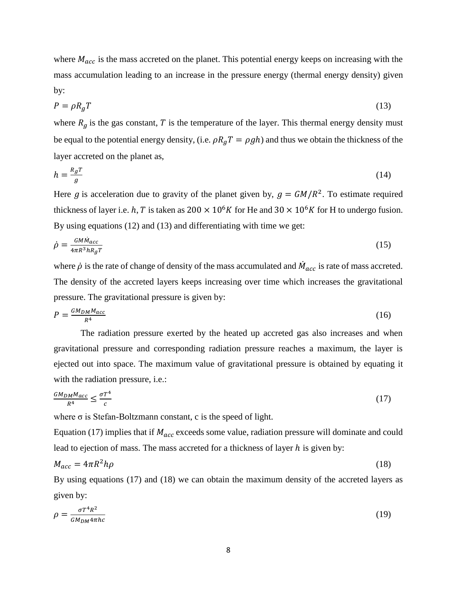where  $M_{acc}$  is the mass accreted on the planet. This potential energy keeps on increasing with the mass accumulation leading to an increase in the pressure energy (thermal energy density) given by:

$$
P = \rho R_g T \tag{13}
$$

where  $R_q$  is the gas constant, T is the temperature of the layer. This thermal energy density must be equal to the potential energy density, (i.e.  $\rho R_q T = \rho g h$ ) and thus we obtain the thickness of the layer accreted on the planet as,

$$
h = \frac{R_g T}{g} \tag{14}
$$

Here g is acceleration due to gravity of the planet given by,  $g = GM/R^2$ . To estimate required thickness of layer i.e. h, T is taken as  $200 \times 10^6 K$  for He and  $30 \times 10^6 K$  for H to undergo fusion. By using equations (12) and (13) and differentiating with time we get:

$$
\dot{\rho} = \frac{GM\dot{M}_{acc}}{4\pi R^3 h R_g T} \tag{15}
$$

where  $\dot{\rho}$  is the rate of change of density of the mass accumulated and  $\dot{M}_{acc}$  is rate of mass accreted. The density of the accreted layers keeps increasing over time which increases the gravitational pressure. The gravitational pressure is given by:

$$
P = \frac{GM_{DM}M_{acc}}{R^4} \tag{16}
$$

The radiation pressure exerted by the heated up accreted gas also increases and when gravitational pressure and corresponding radiation pressure reaches a maximum, the layer is ejected out into space. The maximum value of gravitational pressure is obtained by equating it with the radiation pressure, i.e.:

$$
\frac{GM_{DM}M_{acc}}{R^4} \le \frac{\sigma T^4}{c} \tag{17}
$$

where  $\sigma$  is Stefan-Boltzmann constant, c is the speed of light.

Equation (17) implies that if  $M_{acc}$  exceeds some value, radiation pressure will dominate and could lead to ejection of mass. The mass accreted for a thickness of layer h is given by:

$$
M_{acc} = 4\pi R^2 h \rho \tag{18}
$$

By using equations (17) and (18) we can obtain the maximum density of the accreted layers as given by:

$$
\rho = \frac{\sigma T^4 R^2}{GM_{DM} 4\pi h c} \tag{19}
$$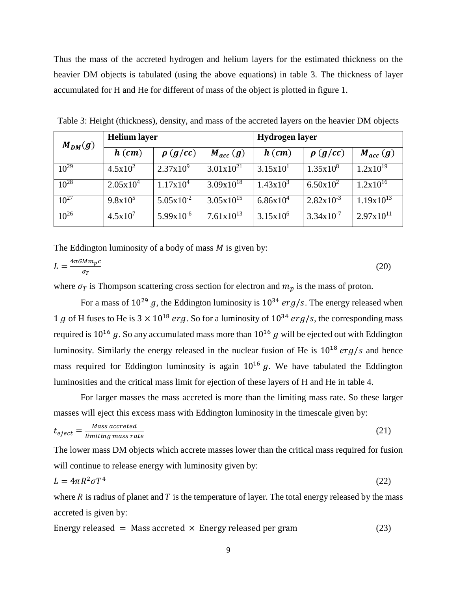Thus the mass of the accreted hydrogen and helium layers for the estimated thickness on the heavier DM objects is tabulated (using the above equations) in table 3. The thickness of layer accumulated for H and He for different of mass of the object is plotted in figure 1.

| $M_{DM}(g)$ | <b>Helium</b> layer |                       |                       | <b>Hydrogen</b> layer |                       |                       |  |
|-------------|---------------------|-----------------------|-----------------------|-----------------------|-----------------------|-----------------------|--|
|             | $h$ (cm)            | $\rho$ (g/cc)         | $M_{acc}(g)$          | $h$ (cm)              | $\rho$ (g/cc)         | $M_{acc}(g)$          |  |
| $10^{29}$   | $4.5x10^{2}$        | $2.37 \times 10^{9}$  | $3.01 \times 10^{21}$ | 3.15x10 <sup>1</sup>  | $1.35 \times 10^8$    | $1.2x10^{19}$         |  |
| $10^{28}$   | $2.05x10^4$         | $1.17x10^4$           | $3.09x10^{18}$        | $1.43x10^{3}$         | $6.50 \times 10^{2}$  | $1.2x10^{16}$         |  |
| $10^{27}$   | $9.8x10^5$          | $5.05 \times 10^{-2}$ | $3.05 \times 10^{15}$ | $6.86x10^{4}$         | $2.82 \times 10^{-3}$ | $1.19x10^{13}$        |  |
| $10^{26}$   | $4.5x10^{7}$        | $5.99x10^{-6}$        | $7.61 \times 10^{13}$ | $3.15x10^6$           | $3.34 \times 10^{-7}$ | $2.97 \times 10^{11}$ |  |

Table 3: Height (thickness), density, and mass of the accreted layers on the heavier DM objects

The Eddington luminosity of a body of mass  $M$  is given by:

$$
L = \frac{4\pi GMm_p c}{\sigma_T} \tag{20}
$$

where  $\sigma_T$  is Thompson scattering cross section for electron and  $m_p$  is the mass of proton.

For a mass of  $10^{29}$  g, the Eddington luminosity is  $10^{34}$  erg/s. The energy released when 1 g of H fuses to He is  $3 \times 10^{18}$  erg. So for a luminosity of  $10^{34}$  erg/s, the corresponding mass required is  $10^{16}$  g. So any accumulated mass more than  $10^{16}$  g will be ejected out with Eddington luminosity. Similarly the energy released in the nuclear fusion of He is  $10^{18} erg/s$  and hence mass required for Eddington luminosity is again  $10^{16}$  g. We have tabulated the Eddington luminosities and the critical mass limit for ejection of these layers of H and He in table 4.

For larger masses the mass accreted is more than the limiting mass rate. So these larger masses will eject this excess mass with Eddington luminosity in the timescale given by:

$$
t_{eject} = \frac{Mass\ accreted}{limiting\ mass\ rate} \tag{21}
$$

The lower mass DM objects which accrete masses lower than the critical mass required for fusion will continue to release energy with luminosity given by:

$$
L = 4\pi R^2 \sigma T^4 \tag{22}
$$

where  $R$  is radius of planet and  $T$  is the temperature of layer. The total energy released by the mass accreted is given by:

Energy released = Mass accreted 
$$
\times
$$
 Energy released per gram (23)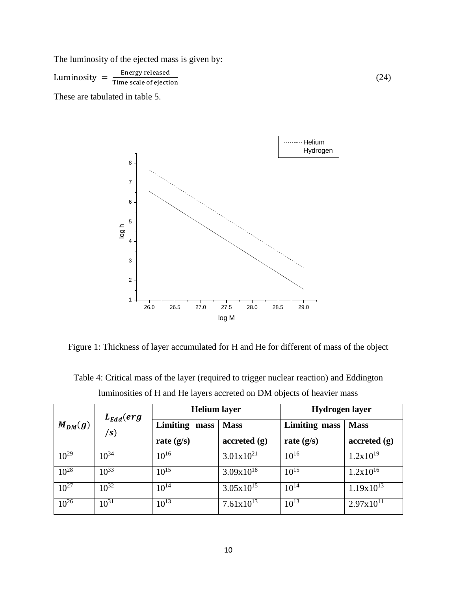The luminosity of the ejected mass is given by:

Luminosity  $=\frac{\text{Energy released}}{\text{Time scale of a  
first}}$ Time scale of ejection

These are tabulated in table 5.



(24)

Figure 1: Thickness of layer accumulated for H and He for different of mass of the object

|             | $L_{Edd}(erg$<br>$\sqrt{s}$ | <b>Helium</b> layer |                       | Hydrogen layer       |                                         |  |
|-------------|-----------------------------|---------------------|-----------------------|----------------------|-----------------------------------------|--|
| $M_{DM}(g)$ |                             | Limiting<br>mass    | <b>Mass</b>           | <b>Limiting mass</b> | <b>Mass</b>                             |  |
|             |                             | rate $(g/s)$        | accreted(g)           | rate $(g/s)$         | $\boldsymbol{accreted}(\boldsymbol{g})$ |  |
| $10^{29}$   | $10^{34}$                   | $10^{16}$           | $3.01x10^{21}$        | $10^{16}$            | $1.2x10^{19}$                           |  |
| $10^{28}$   | $10^{33}$                   | $10^{15}$           | $3.09x10^{18}$        | $10^{15}$            | $1.2x10^{16}$                           |  |
| $10^{27}$   | $10^{32}$                   | $10^{14}$           | $3.05 \times 10^{15}$ | $10^{14}$            | $1.19x10^{13}$                          |  |
| $10^{26}$   | $10^{31}$                   | $10^{13}$           | $7.61 \times 10^{13}$ | $10^{13}$            | $2.97x10^{11}$                          |  |

Table 4: Critical mass of the layer (required to trigger nuclear reaction) and Eddington luminosities of H and He layers accreted on DM objects of heavier mass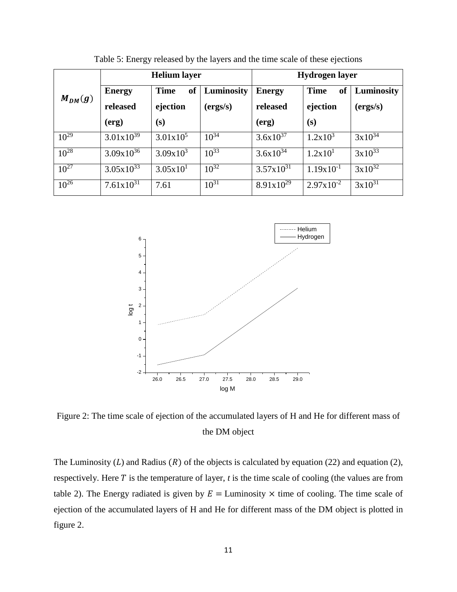| $M_{DM}(g)$ | <b>Helium</b> layer |                              |            | Hydrogen layer        |                          |             |  |
|-------------|---------------------|------------------------------|------------|-----------------------|--------------------------|-------------|--|
|             | <b>Energy</b>       | <sub>of</sub><br><b>Time</b> | Luminosity | <b>Energy</b>         | <b>Time</b><br><b>of</b> | Luminosity  |  |
|             | released            | ejection                     | (ergs/s)   | released              | ejection                 | (ergs/s)    |  |
|             | (erg)               | (s)                          |            | (erg)                 | (s)                      |             |  |
| $10^{29}$   | $3.01x10^{39}$      | $3.01x10^5$                  | $10^{34}$  | $3.6x10^{37}$         | $1.2x10^3$               | $3x10^{34}$ |  |
| $10^{28}$   | $3.09x10^{36}$      | $3.09x10^{3}$                | $10^{33}$  | $3.6x10^{34}$         | 1.2x10 <sup>1</sup>      | $3x10^{33}$ |  |
| $10^{27}$   | $3.05x10^{33}$      | 3.05x10 <sup>1</sup>         | $10^{32}$  | $3.57 \times 10^{31}$ | $1.19x10^{-1}$           | $3x10^{32}$ |  |
| $10^{26}$   | $7.61x10^{31}$      | 7.61                         | $10^{31}$  | $8.91x10^{29}$        | $2.97 \times 10^{-2}$    | $3x10^{31}$ |  |

Table 5: Energy released by the layers and the time scale of these ejections



Figure 2: The time scale of ejection of the accumulated layers of H and He for different mass of the DM object

The Luminosity  $(L)$  and Radius  $(R)$  of the objects is calculated by equation (22) and equation (2), respectively. Here  $T$  is the temperature of layer,  $t$  is the time scale of cooling (the values are from table 2). The Energy radiated is given by  $E =$  Luminosity  $\times$  time of cooling. The time scale of ejection of the accumulated layers of H and He for different mass of the DM object is plotted in figure 2.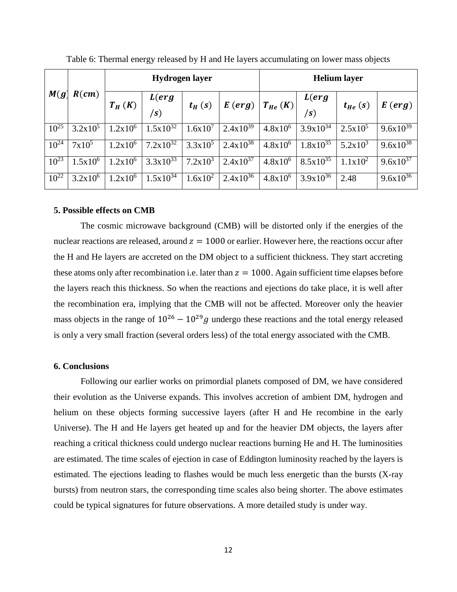|           |            | <b>Hydrogen layer</b> |                        |              | <b>Helium</b> layer |              |                          |              |                      |
|-----------|------------|-----------------------|------------------------|--------------|---------------------|--------------|--------------------------|--------------|----------------------|
| M(g)      | R(cm)      | $T_H(K)$              | L(erg<br>$\mathbf{s})$ | $t_H(s)$     | E(crg)              | $T_{He}$ (K) | L(erg<br>$\mathbf{s}$    | $t_{He}$ (s) | $E(\text{erg})$      |
| $10^{25}$ | $3.2x10^5$ | $1.2x10^6$            | $1.5x10^{32}$          | $1.6x10^{7}$ | $2.4x10^{39}$       | $4.8x10^6$   | $3.9x10^{3\overline{4}}$ | $2.5x10^5$   | 9.6x10 <sup>39</sup> |
| $10^{24}$ | $7x10^5$   | $1.2x10^6$            | $7.2 \times 10^{32}$   | $3.3x10^5$   | $2.4x10^{38}$       | $4.8x10^6$   | $1.8x10^{35}$            | $5.2x10^3$   | $9.6x10^{38}$        |
| $10^{23}$ | $1.5x10^6$ | $1.2x10^6$            | $3.3x10^{33}$          | $7.2x10^3$   | $2.4x10^{37}$       | $4.8x10^6$   | $8.5x10^{35}$            | $1.1x10^2$   | $9.6x10^{37}$        |
| $10^{22}$ | $3.2x10^6$ | $1.2x10^6$            | $1.5x10^{34}$          | $1.6x10^2$   | $2.4x10^{36}$       | $4.8x10^6$   | $3.9x10^{36}$            | 2.48         | $9.6x10^{36}$        |

Table 6: Thermal energy released by H and He layers accumulating on lower mass objects

### **5. Possible effects on CMB**

The cosmic microwave background (CMB) will be distorted only if the energies of the nuclear reactions are released, around  $z = 1000$  or earlier. However here, the reactions occur after the H and He layers are accreted on the DM object to a sufficient thickness. They start accreting these atoms only after recombination i.e. later than  $z = 1000$ . Again sufficient time elapses before the layers reach this thickness. So when the reactions and ejections do take place, it is well after the recombination era, implying that the CMB will not be affected. Moreover only the heavier mass objects in the range of  $10^{26} - 10^{29}g$  undergo these reactions and the total energy released is only a very small fraction (several orders less) of the total energy associated with the CMB.

# **6. Conclusions**

Following our earlier works on primordial planets composed of DM, we have considered their evolution as the Universe expands. This involves accretion of ambient DM, hydrogen and helium on these objects forming successive layers (after H and He recombine in the early Universe). The H and He layers get heated up and for the heavier DM objects, the layers after reaching a critical thickness could undergo nuclear reactions burning He and H. The luminosities are estimated. The time scales of ejection in case of Eddington luminosity reached by the layers is estimated. The ejections leading to flashes would be much less energetic than the bursts (X-ray bursts) from neutron stars, the corresponding time scales also being shorter. The above estimates could be typical signatures for future observations. A more detailed study is under way.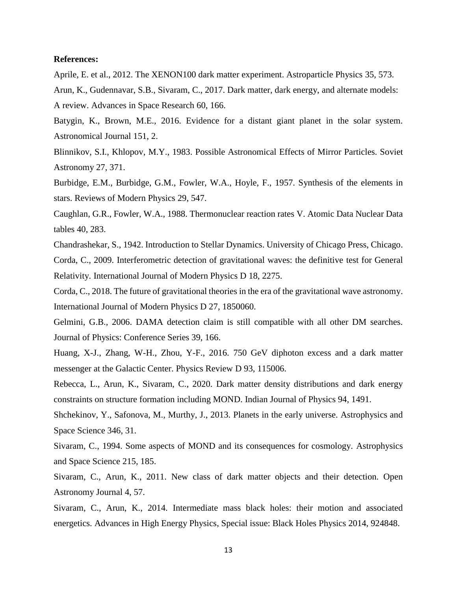### **References:**

Aprile, E. et al., 2012. The XENON100 dark matter experiment. Astroparticle Physics 35, 573.

Arun, K., Gudennavar, S.B., Sivaram, C., 2017. Dark matter, dark energy, and alternate models: A review. Advances in Space Research 60, 166.

Batygin, K., Brown, M.E., 2016. Evidence for a distant giant planet in the solar system. Astronomical Journal 151, 2.

Blinnikov, S.I., Khlopov, M.Y., 1983. Possible Astronomical Effects of Mirror Particles. Soviet Astronomy 27, 371.

Burbidge, E.M., Burbidge, G.M., Fowler, W.A., Hoyle, F., 1957. Synthesis of the elements in stars. Reviews of Modern Physics 29, 547.

Caughlan, G.R., Fowler, W.A., 1988. Thermonuclear reaction rates V. Atomic Data Nuclear Data tables 40, 283.

Chandrashekar, S., 1942. Introduction to Stellar Dynamics. University of Chicago Press, Chicago. Corda, C., 2009. Interferometric detection of gravitational waves: the definitive test for General Relativity. International Journal of Modern Physics D 18, 2275.

Corda, C., 2018. The future of gravitational theories in the era of the gravitational wave astronomy. International Journal of Modern Physics D 27, 1850060.

Gelmini, G.B., 2006. DAMA detection claim is still compatible with all other DM searches. Journal of Physics: Conference Series 39, 166.

Huang, X-J., Zhang, W-H., Zhou, Y-F., 2016. 750 GeV diphoton excess and a dark matter messenger at the Galactic Center. Physics Review D 93, 115006.

Rebecca, L., Arun, K., Sivaram, C., 2020. Dark matter density distributions and dark energy constraints on structure formation including MOND. Indian Journal of Physics 94, 1491.

Shchekinov, Y., Safonova, M., Murthy, J., 2013. Planets in the early universe. Astrophysics and Space Science 346, 31.

Sivaram, C., 1994. Some aspects of MOND and its consequences for cosmology. Astrophysics and Space Science 215, 185.

Sivaram, C., Arun, K., 2011. New class of dark matter objects and their detection. Open Astronomy Journal 4, 57.

Sivaram, C., Arun, K., 2014. Intermediate mass black holes: their motion and associated energetics. Advances in High Energy Physics, Special issue: Black Holes Physics 2014, 924848.